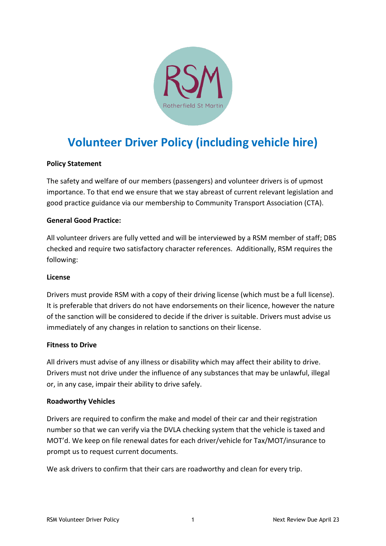

# **Volunteer Driver Policy (including vehicle hire)**

# **Policy Statement**

The safety and welfare of our members (passengers) and volunteer drivers is of upmost importance. To that end we ensure that we stay abreast of current relevant legislation and good practice guidance via our membership to Community Transport Association (CTA).

# **General Good Practice:**

All volunteer drivers are fully vetted and will be interviewed by a RSM member of staff; DBS checked and require two satisfactory character references. Additionally, RSM requires the following:

## **License**

Drivers must provide RSM with a copy of their driving license (which must be a full license). It is preferable that drivers do not have endorsements on their licence, however the nature of the sanction will be considered to decide if the driver is suitable. Drivers must advise us immediately of any changes in relation to sanctions on their license.

## **Fitness to Drive**

All drivers must advise of any illness or disability which may affect their ability to drive. Drivers must not drive under the influence of any substances that may be unlawful, illegal or, in any case, impair their ability to drive safely.

## **Roadworthy Vehicles**

Drivers are required to confirm the make and model of their car and their registration number so that we can verify via the DVLA checking system that the vehicle is taxed and MOT'd. We keep on file renewal dates for each driver/vehicle for Tax/MOT/insurance to prompt us to request current documents.

We ask drivers to confirm that their cars are roadworthy and clean for every trip.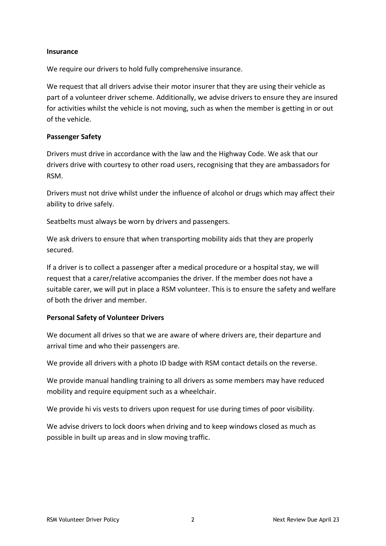#### **Insurance**

We require our drivers to hold fully comprehensive insurance.

We request that all drivers advise their motor insurer that they are using their vehicle as part of a volunteer driver scheme. Additionally, we advise drivers to ensure they are insured for activities whilst the vehicle is not moving, such as when the member is getting in or out of the vehicle.

## **Passenger Safety**

Drivers must drive in accordance with the law and the Highway Code. We ask that our drivers drive with courtesy to other road users, recognising that they are ambassadors for RSM.

Drivers must not drive whilst under the influence of alcohol or drugs which may affect their ability to drive safely.

Seatbelts must always be worn by drivers and passengers.

We ask drivers to ensure that when transporting mobility aids that they are properly secured.

If a driver is to collect a passenger after a medical procedure or a hospital stay, we will request that a carer/relative accompanies the driver. If the member does not have a suitable carer, we will put in place a RSM volunteer. This is to ensure the safety and welfare of both the driver and member.

# **Personal Safety of Volunteer Drivers**

We document all drives so that we are aware of where drivers are, their departure and arrival time and who their passengers are.

We provide all drivers with a photo ID badge with RSM contact details on the reverse.

We provide manual handling training to all drivers as some members may have reduced mobility and require equipment such as a wheelchair.

We provide hi vis vests to drivers upon request for use during times of poor visibility.

We advise drivers to lock doors when driving and to keep windows closed as much as possible in built up areas and in slow moving traffic.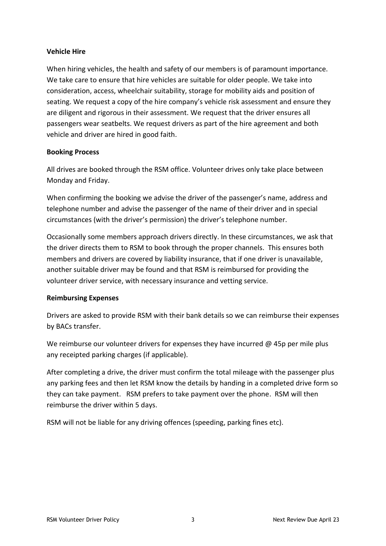# **Vehicle Hire**

When hiring vehicles, the health and safety of our members is of paramount importance. We take care to ensure that hire vehicles are suitable for older people. We take into consideration, access, wheelchair suitability, storage for mobility aids and position of seating. We request a copy of the hire company's vehicle risk assessment and ensure they are diligent and rigorous in their assessment. We request that the driver ensures all passengers wear seatbelts. We request drivers as part of the hire agreement and both vehicle and driver are hired in good faith.

# **Booking Process**

All drives are booked through the RSM office. Volunteer drives only take place between Monday and Friday.

When confirming the booking we advise the driver of the passenger's name, address and telephone number and advise the passenger of the name of their driver and in special circumstances (with the driver's permission) the driver's telephone number.

Occasionally some members approach drivers directly. In these circumstances, we ask that the driver directs them to RSM to book through the proper channels. This ensures both members and drivers are covered by liability insurance, that if one driver is unavailable, another suitable driver may be found and that RSM is reimbursed for providing the volunteer driver service, with necessary insurance and vetting service.

# **Reimbursing Expenses**

Drivers are asked to provide RSM with their bank details so we can reimburse their expenses by BACs transfer.

We reimburse our volunteer drivers for expenses they have incurred  $@$  45p per mile plus any receipted parking charges (if applicable).

After completing a drive, the driver must confirm the total mileage with the passenger plus any parking fees and then let RSM know the details by handing in a completed drive form so they can take payment. RSM prefers to take payment over the phone. RSM will then reimburse the driver within 5 days.

RSM will not be liable for any driving offences (speeding, parking fines etc).